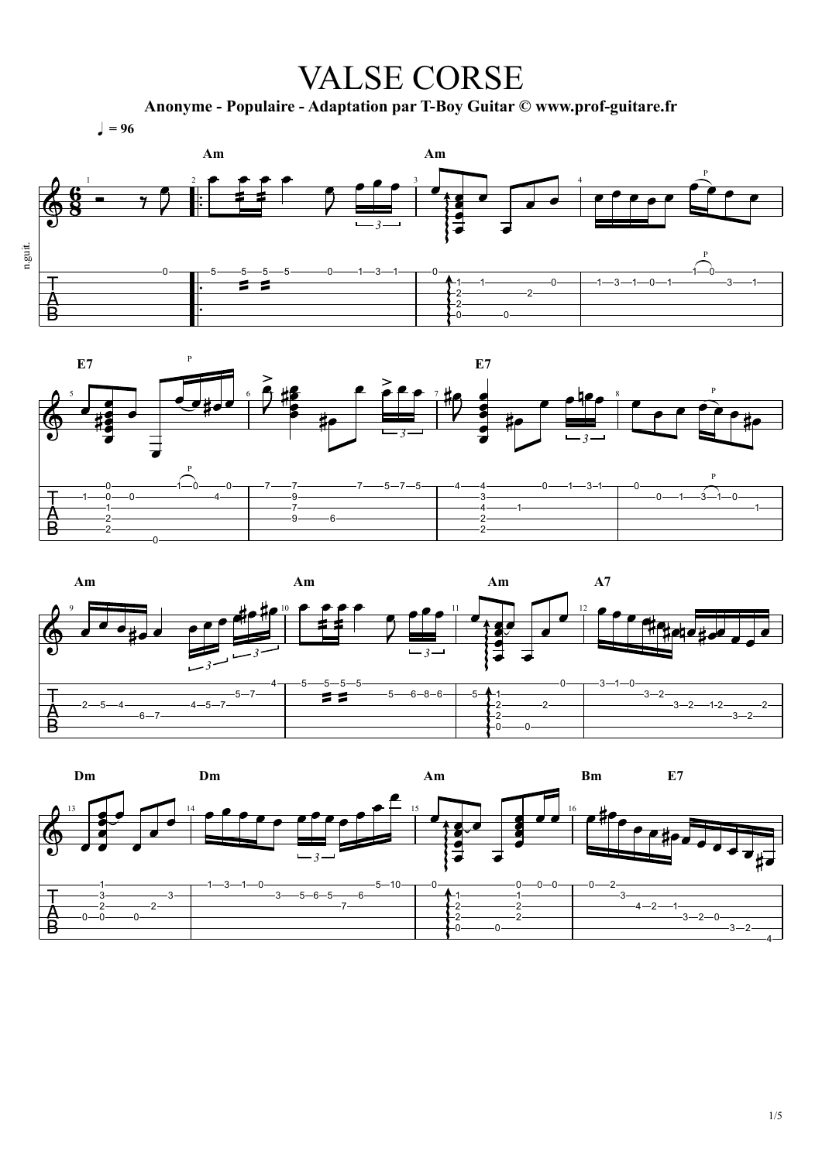VALSE CORSE **Anonyme - Populaire - Adaptation par T-Boy Guitar © www.prof-guitare.fr**

 $= 96$ 







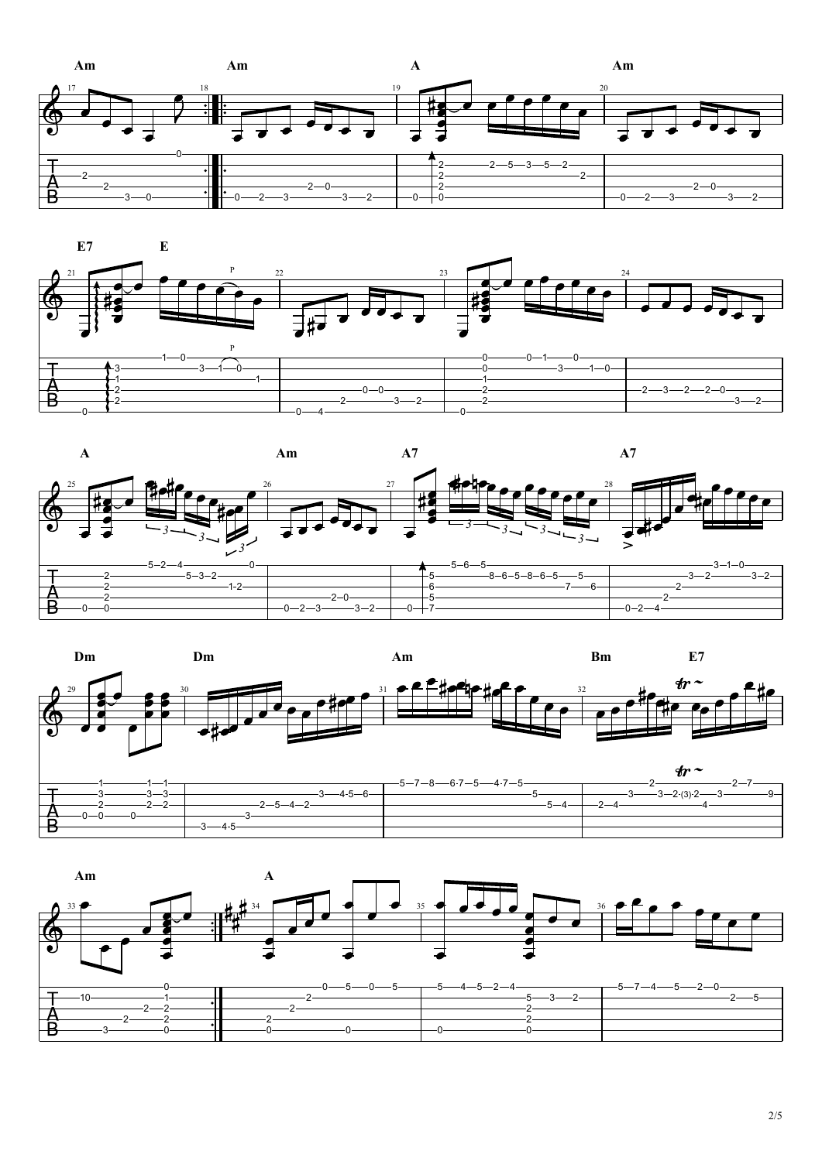







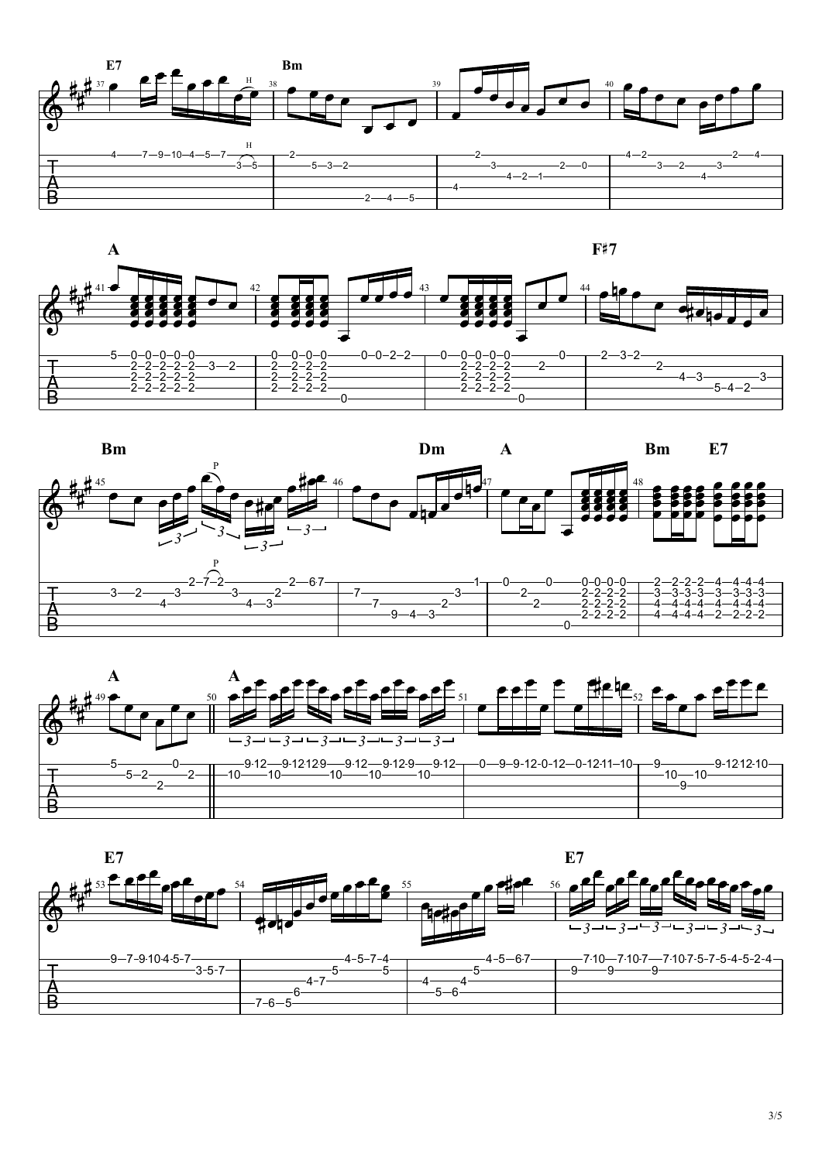







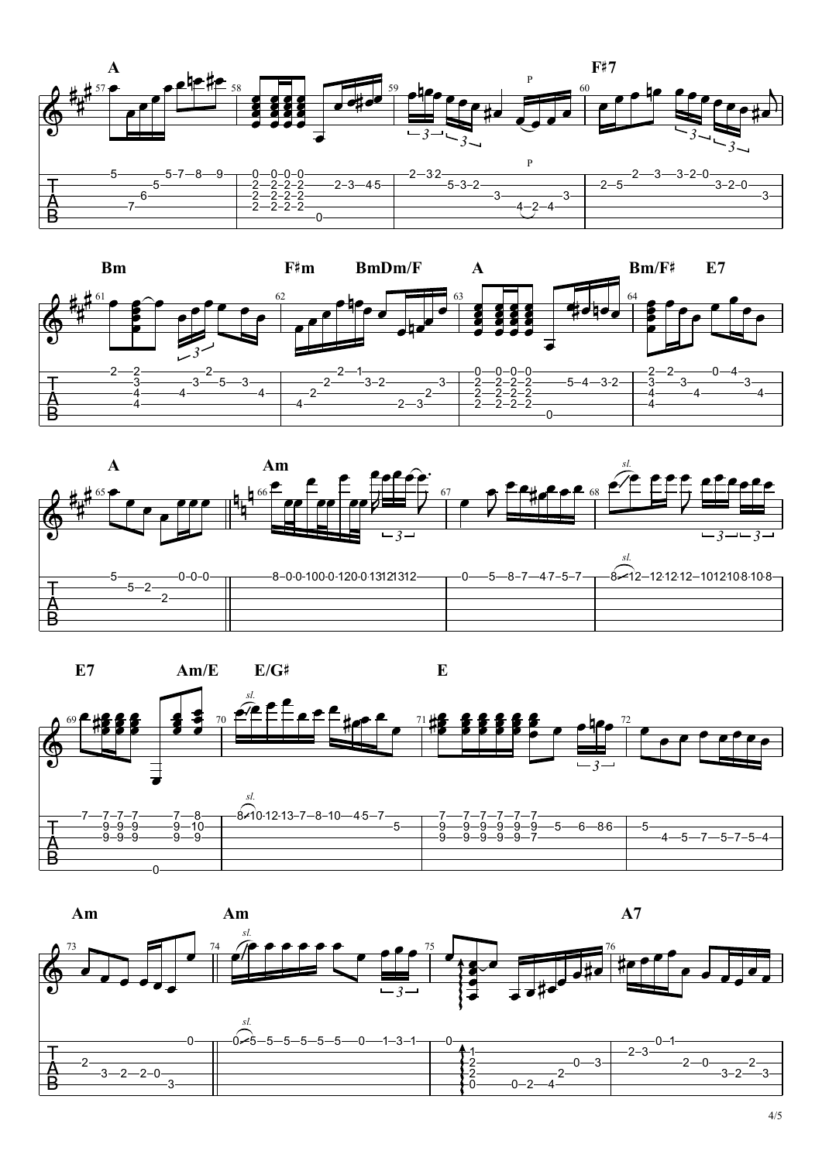4/5